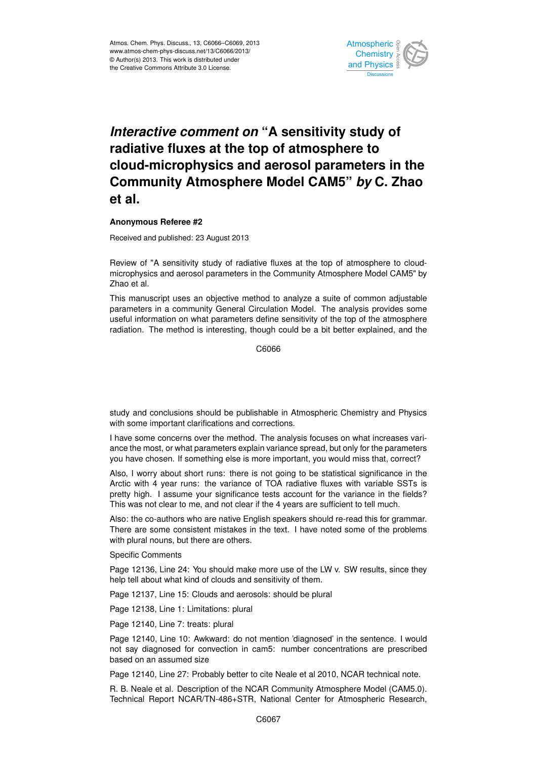

## *Interactive comment on* "A sensitivity study of Open Access  $\mathsf{f}$ radiative fluxes at the top of atmosphere to cle e co **Community Atmosphere Model CAM5"** *by* **C. Zhao**  $\bullet$  $\overline{z}$ cloud-microphysics and aerosol parameters in the **et al.**

## **Anonymous Referee #2**

Received and published: 23 August 2013

Review of "A sensitivity study of radiative fluxes at the top of atmosphere to cloudmicrophysics and aerosol parameters in the Community Atmosphere Model CAM5" by v<br>th tc<br>A Zhao et al.

manual parameters in a community General Circulation Model. The analysis provides some parameters and community contrain ensumer measurements and you promote semi-<br>useful information on what parameters define sensitivity of the top of the atmosphere ic<br>Ie dj<br>e<br>ic This manuscript uses an objective method to analyze a suite of common adjustable radiation. The method is interesting, though could be a bit better explained, and the

> Hydrology and Earth System  $\mathfrak{e}$ C6066

study and conclusions should be publishable in Atmospheric Chemistry and Physics with some important clarifications and corrections.

ne method. The analysis focuses on what increa r<br>T<br>n s<br>r I have some concerns over the method. The analysis focuses on what increases variance the most, or what parameters explain variance spread, but only for the parameters you have chosen. If something else is more important, you would miss that, correct?

Arctic with 4 year runs: the variance of TOA radiative fluxes with variable SSTs is r<br>f<br>. C)<br>ح Also, I worry about short runs: there is not going to be statistical significance in the pretty high. I assume your significance tests account for the variance in the fields? This was not clear to me, and not clear if the 4 years are sufficient to tell much.

Also: the co-authors who are native English speakers should re-read this for grammar. There are some consistent mistakes in the text. I have noted some of the problems with plural nouns, but there are others.

Specific Comments

Page 12136, Line 24: You should make more use of the LW v. SW results, since they help tell about what kind of clouds and sensitivity of them.

Page 12137, Line 15: Clouds and aerosols: should be plural

Page 12138, Line 1: Limitations: plural

Page 12140, Line 7: treats: plural

Page 12140, Line 10: Awkward: do not mention 'diagnosed' in the sentence. I would not say diagnosed for convection in cam5: number concentrations are prescribed based on an assumed size

Page 12140, Line 27: Probably better to cite Neale et al 2010, NCAR technical note.

R. B. Neale et al. Description of the NCAR Community Atmosphere Model (CAM5.0). Technical Report NCAR/TN-486+STR, National Center for Atmospheric Research,